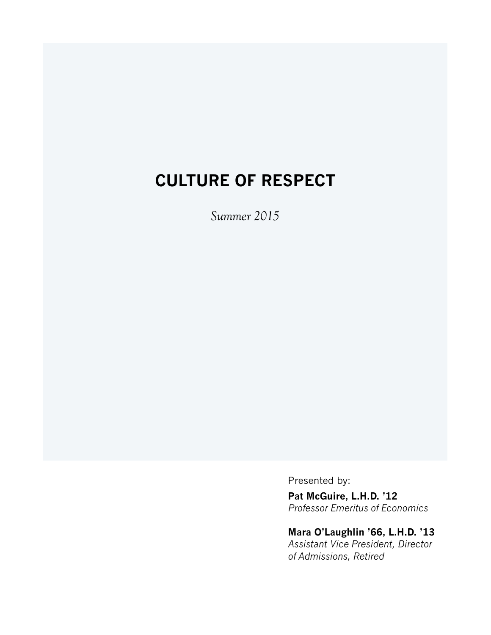# **CULTURE OF RESPECT**

*Summer 2015*

Presented by:

**Pat McGuire, L.H.D. '12** *Professor Emeritus of Economics*

# **Mara O'Laughlin '66, L.H.D. '13**

*Assistant Vice President, Director of Admissions, Retired*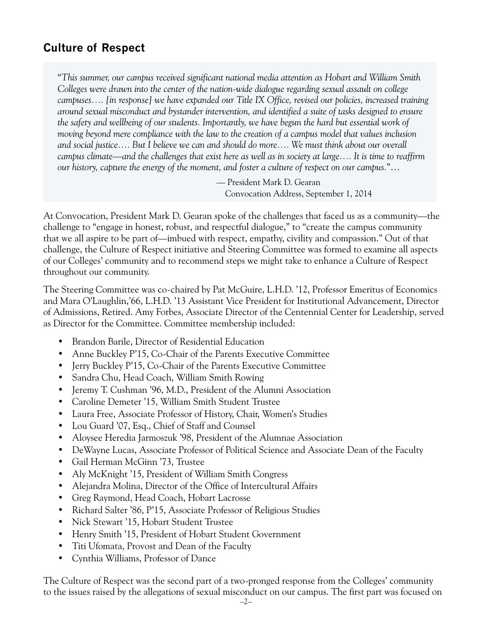# **Culture of Respect**

"*This summer, our campus received significant national media attention as Hobart and William Smith Colleges were drawn into the center of the nation-wide dialogue regarding sexual assault on college campuses…. [in response] we have expanded our Title IX Office, revised our policies, increased training around sexual misconduct and bystander intervention, and identified a suite of tasks designed to ensure the safety and wellbeing of our students. Importantly, we have begun the hard but essential work of moving beyond mere compliance with the law to the creation of a campus model that values inclusion and social justice…. But I believe we can and should do more…. We must think about our overall campus climate—and the challenges that exist here as well as in society at large…. It is time to reaffirm our history, capture the energy of the moment, and foster a culture of respect on our campus.*"…

> — President Mark D. Gearan Convocation Address, September 1, 2014

At Convocation, President Mark D. Gearan spoke of the challenges that faced us as a community—the challenge to "engage in honest, robust, and respectful dialogue," to "create the campus community that we all aspire to be part of—imbued with respect, empathy, civility and compassion." Out of that challenge, the Culture of Respect initiative and Steering Committee was formed to examine all aspects of our Colleges' community and to recommend steps we might take to enhance a Culture of Respect throughout our community.

The Steering Committee was co-chaired by Pat McGuire, L.H.D. '12, Professor Emeritus of Economics and Mara O'Laughlin,'66, L.H.D. '13 Assistant Vice President for Institutional Advancement, Director of Admissions, Retired. Amy Forbes, Associate Director of the Centennial Center for Leadership, served as Director for the Committee. Committee membership included:

- • Brandon Barile, Director of Residential Education
- Anne Buckley P'15, Co-Chair of the Parents Executive Committee
- Jerry Buckley P'15, Co-Chair of the Parents Executive Committee
- Sandra Chu, Head Coach, William Smith Rowing
- Jeremy T. Cushman '96, M.D., President of the Alumni Association
- • Caroline Demeter '15, William Smith Student Trustee
- Laura Free, Associate Professor of History, Chair, Women's Studies
- Lou Guard '07, Esq., Chief of Staff and Counsel
- Aloysee Heredia Jarmoszuk '98, President of the Alumnae Association
- DeWayne Lucas, Associate Professor of Political Science and Associate Dean of the Faculty
- • Gail Herman McGinn '73, Trustee
- Aly McKnight '15, President of William Smith Congress
- Alejandra Molina, Director of the Office of Intercultural Affairs
- • Greg Raymond, Head Coach, Hobart Lacrosse
- Richard Salter '86, P'15, Associate Professor of Religious Studies
- Nick Stewart '15, Hobart Student Trustee
- • Henry Smith '15, President of Hobart Student Government
- Titi Ufomata, Provost and Dean of the Faculty
- • Cynthia Williams, Professor of Dance

The Culture of Respect was the second part of a two-pronged response from the Colleges' community to the issues raised by the allegations of sexual misconduct on our campus. The first part was focused on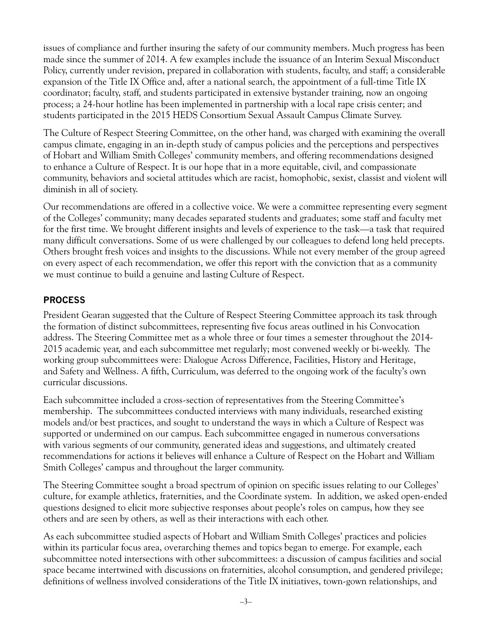issues of compliance and further insuring the safety of our community members. Much progress has been made since the summer of 2014. A few examples include the issuance of an Interim Sexual Misconduct Policy, currently under revision, prepared in collaboration with students, faculty, and staff; a considerable expansion of the Title IX Office and, after a national search, the appointment of a full-time Title IX coordinator; faculty, staff, and students participated in extensive bystander training, now an ongoing process; a 24-hour hotline has been implemented in partnership with a local rape crisis center; and students participated in the 2015 HEDS Consortium Sexual Assault Campus Climate Survey.

The Culture of Respect Steering Committee, on the other hand, was charged with examining the overall campus climate, engaging in an in-depth study of campus policies and the perceptions and perspectives of Hobart and William Smith Colleges' community members, and offering recommendations designed to enhance a Culture of Respect. It is our hope that in a more equitable, civil, and compassionate community, behaviors and societal attitudes which are racist, homophobic, sexist, classist and violent will diminish in all of society.

Our recommendations are offered in a collective voice. We were a committee representing every segment of the Colleges' community; many decades separated students and graduates; some staff and faculty met for the first time. We brought different insights and levels of experience to the task—a task that required many difficult conversations. Some of us were challenged by our colleagues to defend long held precepts. Others brought fresh voices and insights to the discussions. While not every member of the group agreed on every aspect of each recommendation, we offer this report with the conviction that as a community we must continue to build a genuine and lasting Culture of Respect.

# **PROCESS**

President Gearan suggested that the Culture of Respect Steering Committee approach its task through the formation of distinct subcommittees, representing five focus areas outlined in his Convocation address. The Steering Committee met as a whole three or four times a semester throughout the 2014- 2015 academic year, and each subcommittee met regularly; most convened weekly or bi-weekly. The working group subcommittees were: Dialogue Across Difference, Facilities, History and Heritage, and Safety and Wellness. A fifth, Curriculum, was deferred to the ongoing work of the faculty's own curricular discussions.

Each subcommittee included a cross-section of representatives from the Steering Committee's membership. The subcommittees conducted interviews with many individuals, researched existing models and/or best practices, and sought to understand the ways in which a Culture of Respect was supported or undermined on our campus. Each subcommittee engaged in numerous conversations with various segments of our community, generated ideas and suggestions, and ultimately created recommendations for actions it believes will enhance a Culture of Respect on the Hobart and William Smith Colleges' campus and throughout the larger community.

The Steering Committee sought a broad spectrum of opinion on specific issues relating to our Colleges' culture, for example athletics, fraternities, and the Coordinate system. In addition, we asked open-ended questions designed to elicit more subjective responses about people's roles on campus, how they see others and are seen by others, as well as their interactions with each other.

As each subcommittee studied aspects of Hobart and William Smith Colleges' practices and policies within its particular focus area, overarching themes and topics began to emerge. For example, each subcommittee noted intersections with other subcommittees: a discussion of campus facilities and social space became intertwined with discussions on fraternities, alcohol consumption, and gendered privilege; definitions of wellness involved considerations of the Title IX initiatives, town-gown relationships, and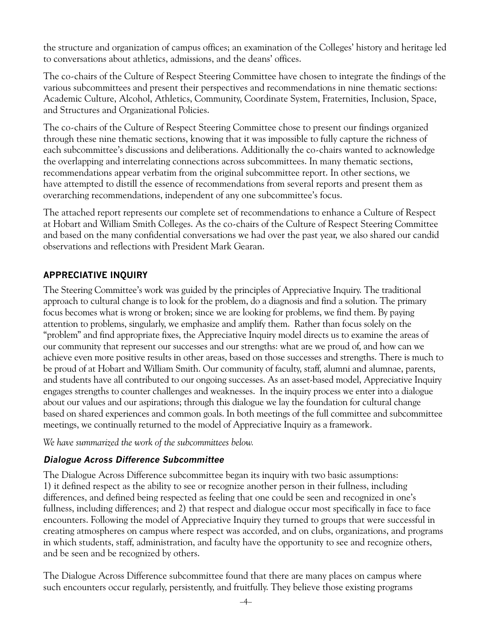the structure and organization of campus offices; an examination of the Colleges' history and heritage led to conversations about athletics, admissions, and the deans' offices.

The co-chairs of the Culture of Respect Steering Committee have chosen to integrate the findings of the various subcommittees and present their perspectives and recommendations in nine thematic sections: Academic Culture, Alcohol, Athletics, Community, Coordinate System, Fraternities, Inclusion, Space, and Structures and Organizational Policies.

The co-chairs of the Culture of Respect Steering Committee chose to present our findings organized through these nine thematic sections, knowing that it was impossible to fully capture the richness of each subcommittee's discussions and deliberations. Additionally the co-chairs wanted to acknowledge the overlapping and interrelating connections across subcommittees. In many thematic sections, recommendations appear verbatim from the original subcommittee report. In other sections, we have attempted to distill the essence of recommendations from several reports and present them as overarching recommendations, independent of any one subcommittee's focus.

The attached report represents our complete set of recommendations to enhance a Culture of Respect at Hobart and William Smith Colleges. As the co-chairs of the Culture of Respect Steering Committee and based on the many confidential conversations we had over the past year, we also shared our candid observations and reflections with President Mark Gearan.

#### **APPRECIATIVE INQUIRY**

The Steering Committee's work was guided by the principles of Appreciative Inquiry. The traditional approach to cultural change is to look for the problem, do a diagnosis and find a solution. The primary focus becomes what is wrong or broken; since we are looking for problems, we find them. By paying attention to problems, singularly, we emphasize and amplify them. Rather than focus solely on the "problem" and find appropriate fixes, the Appreciative Inquiry model directs us to examine the areas of our community that represent our successes and our strengths: what are we proud of, and how can we achieve even more positive results in other areas, based on those successes and strengths. There is much to be proud of at Hobart and William Smith. Our community of faculty, staff, alumni and alumnae, parents, and students have all contributed to our ongoing successes. As an asset-based model, Appreciative Inquiry engages strengths to counter challenges and weaknesses. In the inquiry process we enter into a dialogue about our values and our aspirations; through this dialogue we lay the foundation for cultural change based on shared experiences and common goals. In both meetings of the full committee and subcommittee meetings, we continually returned to the model of Appreciative Inquiry as a framework.

*We have summarized the work of the subcommittees below.*

#### **Dialogue Across Difference Subcommittee**

The Dialogue Across Difference subcommittee began its inquiry with two basic assumptions: 1) it defined respect as the ability to see or recognize another person in their fullness, including differences, and defined being respected as feeling that one could be seen and recognized in one's fullness, including differences; and 2) that respect and dialogue occur most specifically in face to face encounters. Following the model of Appreciative Inquiry they turned to groups that were successful in creating atmospheres on campus where respect was accorded, and on clubs, organizations, and programs in which students, staff, administration, and faculty have the opportunity to see and recognize others, and be seen and be recognized by others.

The Dialogue Across Difference subcommittee found that there are many places on campus where such encounters occur regularly, persistently, and fruitfully. They believe those existing programs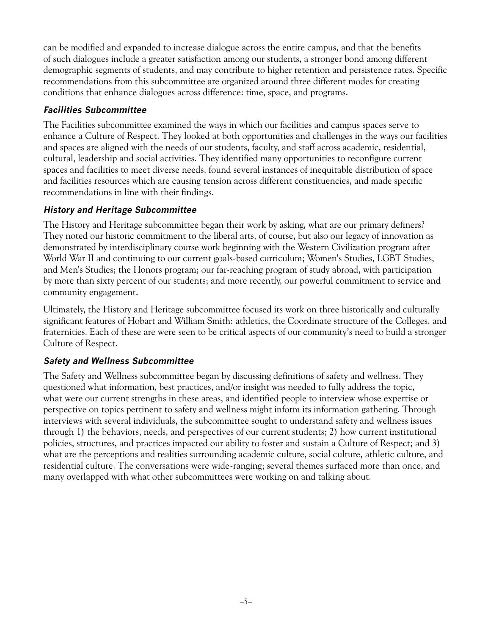can be modified and expanded to increase dialogue across the entire campus, and that the benefits of such dialogues include a greater satisfaction among our students, a stronger bond among different demographic segments of students, and may contribute to higher retention and persistence rates. Specific recommendations from this subcommittee are organized around three different modes for creating conditions that enhance dialogues across difference: time, space, and programs.

# **Facilities Subcommittee**

The Facilities subcommittee examined the ways in which our facilities and campus spaces serve to enhance a Culture of Respect. They looked at both opportunities and challenges in the ways our facilities and spaces are aligned with the needs of our students, faculty, and staff across academic, residential, cultural, leadership and social activities. They identified many opportunities to reconfigure current spaces and facilities to meet diverse needs, found several instances of inequitable distribution of space and facilities resources which are causing tension across different constituencies, and made specific recommendations in line with their findings.

# **History and Heritage Subcommittee**

The History and Heritage subcommittee began their work by asking, what are our primary definers? They noted our historic commitment to the liberal arts, of course, but also our legacy of innovation as demonstrated by interdisciplinary course work beginning with the Western Civilization program after World War II and continuing to our current goals-based curriculum; Women's Studies, LGBT Studies, and Men's Studies; the Honors program; our far-reaching program of study abroad, with participation by more than sixty percent of our students; and more recently, our powerful commitment to service and community engagement.

Ultimately, the History and Heritage subcommittee focused its work on three historically and culturally significant features of Hobart and William Smith: athletics, the Coordinate structure of the Colleges, and fraternities. Each of these are were seen to be critical aspects of our community's need to build a stronger Culture of Respect.

# **Safety and Wellness Subcommittee**

The Safety and Wellness subcommittee began by discussing definitions of safety and wellness. They questioned what information, best practices, and/or insight was needed to fully address the topic, what were our current strengths in these areas, and identified people to interview whose expertise or perspective on topics pertinent to safety and wellness might inform its information gathering. Through interviews with several individuals, the subcommittee sought to understand safety and wellness issues through 1) the behaviors, needs, and perspectives of our current students; 2) how current institutional policies, structures, and practices impacted our ability to foster and sustain a Culture of Respect; and 3) what are the perceptions and realities surrounding academic culture, social culture, athletic culture, and residential culture. The conversations were wide-ranging; several themes surfaced more than once, and many overlapped with what other subcommittees were working on and talking about.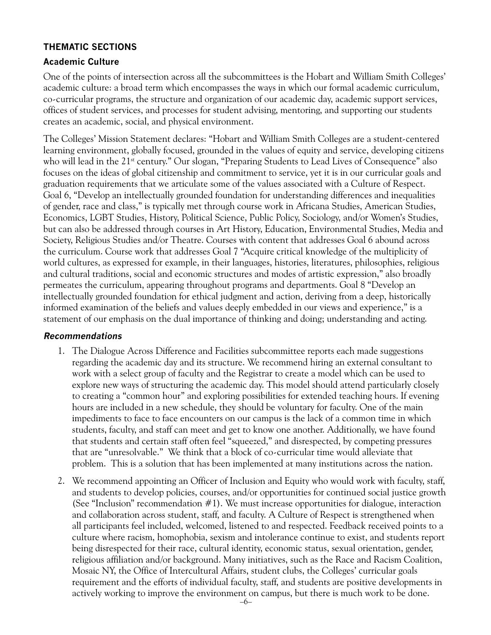#### **THEMATIC SECTIONS**

#### **Academic Culture**

One of the points of intersection across all the subcommittees is the Hobart and William Smith Colleges' academic culture: a broad term which encompasses the ways in which our formal academic curriculum, co-curricular programs, the structure and organization of our academic day, academic support services, offices of student services, and processes for student advising, mentoring, and supporting our students creates an academic, social, and physical environment.

The Colleges' Mission Statement declares: "Hobart and William Smith Colleges are a student-centered learning environment, globally focused, grounded in the values of equity and service, developing citizens who will lead in the 21<sup>st</sup> century." Our slogan, "Preparing Students to Lead Lives of Consequence" also focuses on the ideas of global citizenship and commitment to service, yet it is in our curricular goals and graduation requirements that we articulate some of the values associated with a Culture of Respect. Goal 6, "Develop an intellectually grounded foundation for understanding differences and inequalities of gender, race and class," is typically met through course work in Africana Studies, American Studies, Economics, LGBT Studies, History, Political Science, Public Policy, Sociology, and/or Women's Studies, but can also be addressed through courses in Art History, Education, Environmental Studies, Media and Society, Religious Studies and/or Theatre. Courses with content that addresses Goal 6 abound across the curriculum. Course work that addresses Goal 7 "Acquire critical knowledge of the multiplicity of world cultures, as expressed for example, in their languages, histories, literatures, philosophies, religious and cultural traditions, social and economic structures and modes of artistic expression," also broadly permeates the curriculum, appearing throughout programs and departments. Goal 8 "Develop an intellectually grounded foundation for ethical judgment and action, deriving from a deep, historically informed examination of the beliefs and values deeply embedded in our views and experience," is a statement of our emphasis on the dual importance of thinking and doing; understanding and acting.

- 1. The Dialogue Across Difference and Facilities subcommittee reports each made suggestions regarding the academic day and its structure. We recommend hiring an external consultant to work with a select group of faculty and the Registrar to create a model which can be used to explore new ways of structuring the academic day. This model should attend particularly closely to creating a "common hour" and exploring possibilities for extended teaching hours. If evening hours are included in a new schedule, they should be voluntary for faculty. One of the main impediments to face to face encounters on our campus is the lack of a common time in which students, faculty, and staff can meet and get to know one another. Additionally, we have found that students and certain staff often feel "squeezed," and disrespected, by competing pressures that are "unresolvable." We think that a block of co-curricular time would alleviate that problem. This is a solution that has been implemented at many institutions across the nation.
- 2. We recommend appointing an Officer of Inclusion and Equity who would work with faculty, staff, and students to develop policies, courses, and/or opportunities for continued social justice growth (See "Inclusion" recommendation  $#1$ ). We must increase opportunities for dialogue, interaction and collaboration across student, staff, and faculty. A Culture of Respect is strengthened when all participants feel included, welcomed, listened to and respected. Feedback received points to a culture where racism, homophobia, sexism and intolerance continue to exist, and students report being disrespected for their race, cultural identity, economic status, sexual orientation, gender, religious affiliation and/or background. Many initiatives, such as the Race and Racism Coalition, Mosaic NY, the Office of Intercultural Affairs, student clubs, the Colleges' curricular goals requirement and the efforts of individual faculty, staff, and students are positive developments in actively working to improve the environment on campus, but there is much work to be done.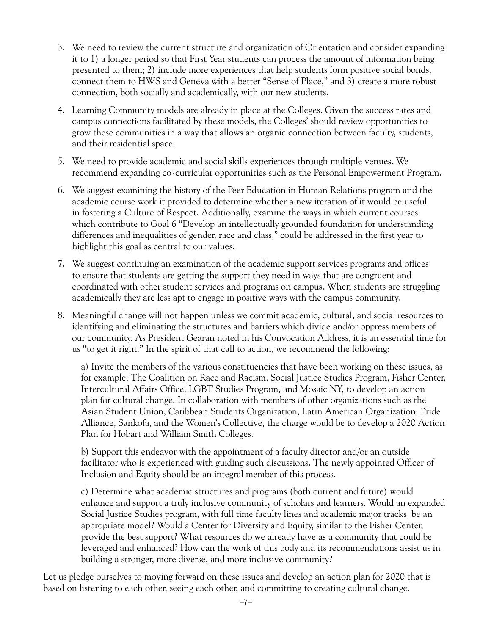- 3. We need to review the current structure and organization of Orientation and consider expanding it to 1) a longer period so that First Year students can process the amount of information being presented to them; 2) include more experiences that help students form positive social bonds, connect them to HWS and Geneva with a better "Sense of Place," and 3) create a more robust connection, both socially and academically, with our new students.
- 4. Learning Community models are already in place at the Colleges. Given the success rates and campus connections facilitated by these models, the Colleges' should review opportunities to grow these communities in a way that allows an organic connection between faculty, students, and their residential space.
- 5. We need to provide academic and social skills experiences through multiple venues. We recommend expanding co-curricular opportunities such as the Personal Empowerment Program.
- 6. We suggest examining the history of the Peer Education in Human Relations program and the academic course work it provided to determine whether a new iteration of it would be useful in fostering a Culture of Respect. Additionally, examine the ways in which current courses which contribute to Goal 6 "Develop an intellectually grounded foundation for understanding differences and inequalities of gender, race and class," could be addressed in the first year to highlight this goal as central to our values.
- 7. We suggest continuing an examination of the academic support services programs and offices to ensure that students are getting the support they need in ways that are congruent and coordinated with other student services and programs on campus. When students are struggling academically they are less apt to engage in positive ways with the campus community.
- 8. Meaningful change will not happen unless we commit academic, cultural, and social resources to identifying and eliminating the structures and barriers which divide and/or oppress members of our community. As President Gearan noted in his Convocation Address, it is an essential time for us "to get it right." In the spirit of that call to action, we recommend the following:

a) Invite the members of the various constituencies that have been working on these issues, as for example, The Coalition on Race and Racism, Social Justice Studies Program, Fisher Center, Intercultural Affairs Office, LGBT Studies Program, and Mosaic NY, to develop an action plan for cultural change. In collaboration with members of other organizations such as the Asian Student Union, Caribbean Students Organization, Latin American Organization, Pride Alliance, Sankofa, and the Women's Collective, the charge would be to develop a 2020 Action Plan for Hobart and William Smith Colleges.

b) Support this endeavor with the appointment of a faculty director and/or an outside facilitator who is experienced with guiding such discussions. The newly appointed Officer of Inclusion and Equity should be an integral member of this process.

c) Determine what academic structures and programs (both current and future) would enhance and support a truly inclusive community of scholars and learners. Would an expanded Social Justice Studies program, with full time faculty lines and academic major tracks, be an appropriate model? Would a Center for Diversity and Equity, similar to the Fisher Center, provide the best support? What resources do we already have as a community that could be leveraged and enhanced? How can the work of this body and its recommendations assist us in building a stronger, more diverse, and more inclusive community?

Let us pledge ourselves to moving forward on these issues and develop an action plan for 2020 that is based on listening to each other, seeing each other, and committing to creating cultural change.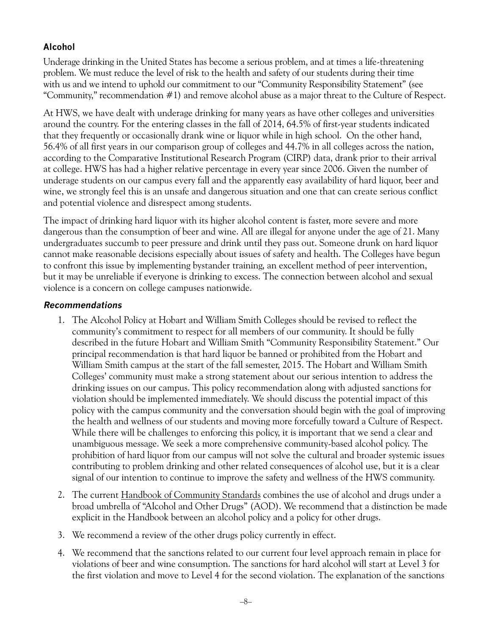# **Alcohol**

Underage drinking in the United States has become a serious problem, and at times a life-threatening problem. We must reduce the level of risk to the health and safety of our students during their time with us and we intend to uphold our commitment to our "Community Responsibility Statement" (see "Community," recommendation #1) and remove alcohol abuse as a major threat to the Culture of Respect.

At HWS, we have dealt with underage drinking for many years as have other colleges and universities around the country. For the entering classes in the fall of 2014, 64.5% of first-year students indicated that they frequently or occasionally drank wine or liquor while in high school. On the other hand, 56.4% of all first years in our comparison group of colleges and 44.7% in all colleges across the nation, according to the Comparative Institutional Research Program (CIRP) data, drank prior to their arrival at college. HWS has had a higher relative percentage in every year since 2006. Given the number of underage students on our campus every fall and the apparently easy availability of hard liquor, beer and wine, we strongly feel this is an unsafe and dangerous situation and one that can create serious conflict and potential violence and disrespect among students.

The impact of drinking hard liquor with its higher alcohol content is faster, more severe and more dangerous than the consumption of beer and wine. All are illegal for anyone under the age of 21. Many undergraduates succumb to peer pressure and drink until they pass out. Someone drunk on hard liquor cannot make reasonable decisions especially about issues of safety and health. The Colleges have begun to confront this issue by implementing bystander training, an excellent method of peer intervention, but it may be unreliable if everyone is drinking to excess. The connection between alcohol and sexual violence is a concern on college campuses nationwide.

- 1. The Alcohol Policy at Hobart and William Smith Colleges should be revised to reflect the community's commitment to respect for all members of our community. It should be fully described in the future Hobart and William Smith "Community Responsibility Statement." Our principal recommendation is that hard liquor be banned or prohibited from the Hobart and William Smith campus at the start of the fall semester, 2015. The Hobart and William Smith Colleges' community must make a strong statement about our serious intention to address the drinking issues on our campus. This policy recommendation along with adjusted sanctions for violation should be implemented immediately. We should discuss the potential impact of this policy with the campus community and the conversation should begin with the goal of improving the health and wellness of our students and moving more forcefully toward a Culture of Respect. While there will be challenges to enforcing this policy, it is important that we send a clear and unambiguous message. We seek a more comprehensive community-based alcohol policy. The prohibition of hard liquor from our campus will not solve the cultural and broader systemic issues contributing to problem drinking and other related consequences of alcohol use, but it is a clear signal of our intention to continue to improve the safety and wellness of the HWS community.
- 2. The current Handbook of Community Standards combines the use of alcohol and drugs under a broad umbrella of "Alcohol and Other Drugs" (AOD). We recommend that a distinction be made explicit in the Handbook between an alcohol policy and a policy for other drugs.
- 3. We recommend a review of the other drugs policy currently in effect.
- 4. We recommend that the sanctions related to our current four level approach remain in place for violations of beer and wine consumption. The sanctions for hard alcohol will start at Level 3 for the first violation and move to Level 4 for the second violation. The explanation of the sanctions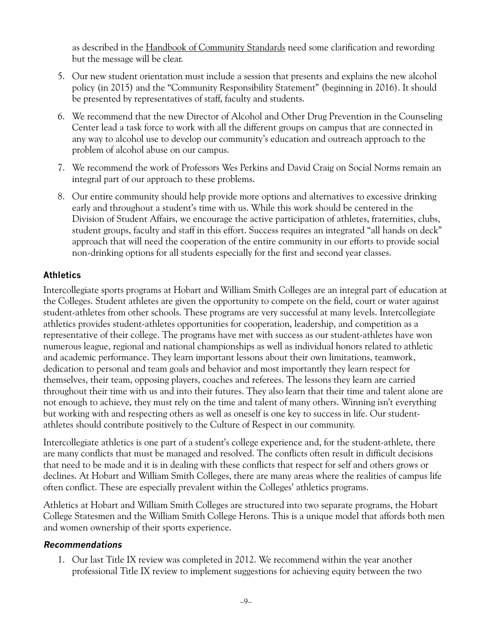as described in the Handbook of Community Standards need some clarification and rewording but the message will be clear.

- 5. Our new student orientation must include a session that presents and explains the new alcohol policy (in 2015) and the "Community Responsibility Statement" (beginning in 2016). It should be presented by representatives of staff, faculty and students.
- 6. We recommend that the new Director of Alcohol and Other Drug Prevention in the Counseling Center lead a task force to work with all the different groups on campus that are connected in any way to alcohol use to develop our community's education and outreach approach to the problem of alcohol abuse on our campus.
- 7. We recommend the work of Professors Wes Perkins and David Craig on Social Norms remain an integral part of our approach to these problems.
- 8. Our entire community should help provide more options and alternatives to excessive drinking early and throughout a student's time with us. While this work should be centered in the Division of Student Affairs, we encourage the active participation of athletes, fraternities, clubs, student groups, faculty and staff in this effort. Success requires an integrated "all hands on deck" approach that will need the cooperation of the entire community in our efforts to provide social non-drinking options for all students especially for the first and second year classes.

#### **Athletics**

Intercollegiate sports programs at Hobart and William Smith Colleges are an integral part of education at the Colleges. Student athletes are given the opportunity to compete on the field, court or water against student-athletes from other schools. These programs are very successful at many levels. Intercollegiate athletics provides student-athletes opportunities for cooperation, leadership, and competition as a representative of their college. The programs have met with success as our student-athletes have won numerous league, regional and national championships as well as individual honors related to athletic and academic performance. They learn important lessons about their own limitations, teamwork, dedication to personal and team goals and behavior and most importantly they learn respect for themselves, their team, opposing players, coaches and referees. The lessons they learn are carried throughout their time with us and into their futures. They also learn that their time and talent alone are not enough to achieve, they must rely on the time and talent of many others. Winning isn't everything but working with and respecting others as well as oneself is one key to success in life. Our studentathletes should contribute positively to the Culture of Respect in our community.

Intercollegiate athletics is one part of a student's college experience and, for the student-athlete, there are many conflicts that must be managed and resolved. The conflicts often result in difficult decisions that need to be made and it is in dealing with these conflicts that respect for self and others grows or declines. At Hobart and William Smith Colleges, there are many areas where the realities of campus life often conflict. These are especially prevalent within the Colleges' athletics programs.

Athletics at Hobart and William Smith Colleges are structured into two separate programs, the Hobart College Statesmen and the William Smith College Herons. This is a unique model that affords both men and women ownership of their sports experience.

#### **Recommendations**

1. Our last Title IX review was completed in 2012. We recommend within the year another professional Title IX review to implement suggestions for achieving equity between the two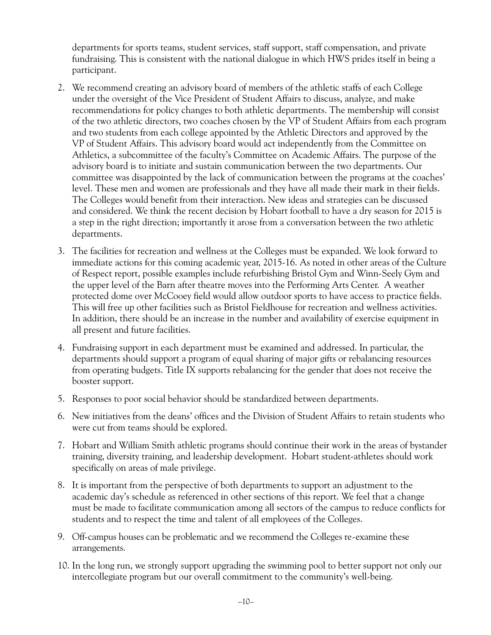departments for sports teams, student services, staff support, staff compensation, and private fundraising. This is consistent with the national dialogue in which HWS prides itself in being a participant.

- 2. We recommend creating an advisory board of members of the athletic staffs of each College under the oversight of the Vice President of Student Affairs to discuss, analyze, and make recommendations for policy changes to both athletic departments. The membership will consist of the two athletic directors, two coaches chosen by the VP of Student Affairs from each program and two students from each college appointed by the Athletic Directors and approved by the VP of Student Affairs. This advisory board would act independently from the Committee on Athletics, a subcommittee of the faculty's Committee on Academic Affairs. The purpose of the advisory board is to initiate and sustain communication between the two departments. Our committee was disappointed by the lack of communication between the programs at the coaches' level. These men and women are professionals and they have all made their mark in their fields. The Colleges would benefit from their interaction. New ideas and strategies can be discussed and considered. We think the recent decision by Hobart football to have a dry season for 2015 is a step in the right direction; importantly it arose from a conversation between the two athletic departments.
- 3. The facilities for recreation and wellness at the Colleges must be expanded. We look forward to immediate actions for this coming academic year, 2015-16. As noted in other areas of the Culture of Respect report, possible examples include refurbishing Bristol Gym and Winn-Seely Gym and the upper level of the Barn after theatre moves into the Performing Arts Center. A weather protected dome over McCooey field would allow outdoor sports to have access to practice fields. This will free up other facilities such as Bristol Fieldhouse for recreation and wellness activities. In addition, there should be an increase in the number and availability of exercise equipment in all present and future facilities.
- 4. Fundraising support in each department must be examined and addressed. In particular, the departments should support a program of equal sharing of major gifts or rebalancing resources from operating budgets. Title IX supports rebalancing for the gender that does not receive the booster support.
- 5. Responses to poor social behavior should be standardized between departments.
- 6. New initiatives from the deans' offices and the Division of Student Affairs to retain students who were cut from teams should be explored.
- 7. Hobart and William Smith athletic programs should continue their work in the areas of bystander training, diversity training, and leadership development. Hobart student-athletes should work specifically on areas of male privilege.
- 8. It is important from the perspective of both departments to support an adjustment to the academic day's schedule as referenced in other sections of this report. We feel that a change must be made to facilitate communication among all sectors of the campus to reduce conflicts for students and to respect the time and talent of all employees of the Colleges.
- 9. Off-campus houses can be problematic and we recommend the Colleges re-examine these arrangements.
- 10. In the long run, we strongly support upgrading the swimming pool to better support not only our intercollegiate program but our overall commitment to the community's well-being.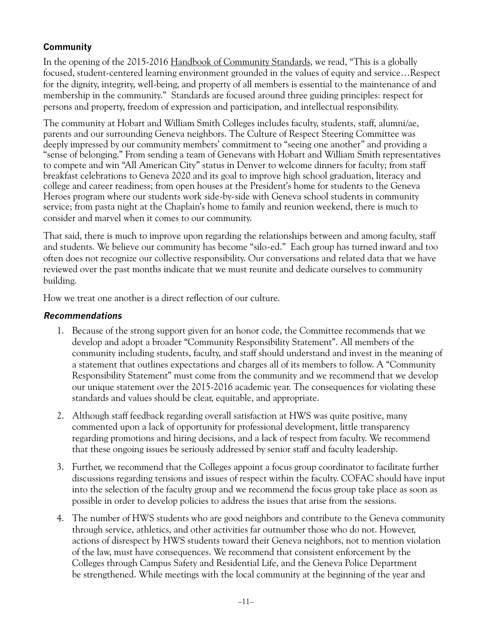# **Community**

In the opening of the 2015-2016 Handbook of Community Standards, we read, "This is a globally focused, student-centered learning environment grounded in the values of equity and service…Respect for the dignity, integrity, well-being, and property of all members is essential to the maintenance of and membership in the community." Standards are focused around three guiding principles: respect for persons and property, freedom of expression and participation, and intellectual responsibility.

The community at Hobart and William Smith Colleges includes faculty, students, staff, alumni/ae, parents and our surrounding Geneva neighbors. The Culture of Respect Steering Committee was deeply impressed by our community members' commitment to "seeing one another" and providing a "sense of belonging." From sending a team of Genevans with Hobart and William Smith representatives to compete and win "All American City" status in Denver to welcome dinners for faculty; from staff breakfast celebrations to Geneva 2020 and its goal to improve high school graduation, literacy and college and career readiness; from open houses at the President's home for students to the Geneva Heroes program where our students work side-by-side with Geneva school students in community service; from pasta night at the Chaplain's home to family and reunion weekend, there is much to consider and marvel when it comes to our community.

That said, there is much to improve upon regarding the relationships between and among faculty, staff and students. We believe our community has become "silo-ed." Each group has turned inward and too often does not recognize our collective responsibility. Our conversations and related data that we have reviewed over the past months indicate that we must reunite and dedicate ourselves to community building.

How we treat one another is a direct reflection of our culture.

- 1. Because of the strong support given for an honor code, the Committee recommends that we develop and adopt a broader "Community Responsibility Statement". All members of the community including students, faculty, and staff should understand and invest in the meaning of a statement that outlines expectations and charges all of its members to follow. A "Community Responsibility Statement" must come from the community and we recommend that we develop our unique statement over the 2015-2016 academic year. The consequences for violating these standards and values should be clear, equitable, and appropriate.
- 2. Although staff feedback regarding overall satisfaction at HWS was quite positive, many commented upon a lack of opportunity for professional development, little transparency regarding promotions and hiring decisions, and a lack of respect from faculty. We recommend that these ongoing issues be seriously addressed by senior staff and faculty leadership.
- 3. Further, we recommend that the Colleges appoint a focus group coordinator to facilitate further discussions regarding tensions and issues of respect within the faculty. COFAC should have input into the selection of the faculty group and we recommend the focus group take place as soon as possible in order to develop policies to address the issues that arise from the sessions.
- 4. The number of HWS students who are good neighbors and contribute to the Geneva community through service, athletics, and other activities far outnumber those who do not. However, actions of disrespect by HWS students toward their Geneva neighbors, not to mention violation of the law, must have consequences. We recommend that consistent enforcement by the Colleges through Campus Safety and Residential Life, and the Geneva Police Department be strengthened. While meetings with the local community at the beginning of the year and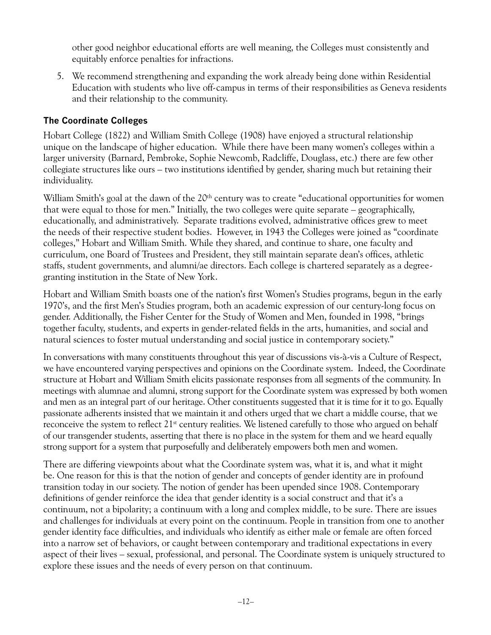other good neighbor educational efforts are well meaning, the Colleges must consistently and equitably enforce penalties for infractions.

5. We recommend strengthening and expanding the work already being done within Residential Education with students who live off-campus in terms of their responsibilities as Geneva residents and their relationship to the community.

# **The Coordinate Colleges**

Hobart College (1822) and William Smith College (1908) have enjoyed a structural relationship unique on the landscape of higher education. While there have been many women's colleges within a larger university (Barnard, Pembroke, Sophie Newcomb, Radcliffe, Douglass, etc.) there are few other collegiate structures like ours – two institutions identified by gender, sharing much but retaining their individuality.

William Smith's goal at the dawn of the 20<sup>th</sup> century was to create "educational opportunities for women that were equal to those for men." Initially, the two colleges were quite separate – geographically, educationally, and administratively. Separate traditions evolved, administrative offices grew to meet the needs of their respective student bodies. However, in 1943 the Colleges were joined as "coordinate colleges," Hobart and William Smith. While they shared, and continue to share, one faculty and curriculum, one Board of Trustees and President, they still maintain separate dean's offices, athletic staffs, student governments, and alumni/ae directors. Each college is chartered separately as a degreegranting institution in the State of New York.

Hobart and William Smith boasts one of the nation's first Women's Studies programs, begun in the early 1970's, and the first Men's Studies program, both an academic expression of our century-long focus on gender. Additionally, the Fisher Center for the Study of Women and Men, founded in 1998, "brings together faculty, students, and experts in gender-related fields in the arts, humanities, and social and natural sciences to foster mutual understanding and social justice in contemporary society."

In conversations with many constituents throughout this year of discussions vis-à-vis a Culture of Respect, we have encountered varying perspectives and opinions on the Coordinate system. Indeed, the Coordinate structure at Hobart and William Smith elicits passionate responses from all segments of the community. In meetings with alumnae and alumni, strong support for the Coordinate system was expressed by both women and men as an integral part of our heritage. Other constituents suggested that it is time for it to go. Equally passionate adherents insisted that we maintain it and others urged that we chart a middle course, that we reconceive the system to reflect  $21<sup>st</sup>$  century realities. We listened carefully to those who argued on behalf of our transgender students, asserting that there is no place in the system for them and we heard equally strong support for a system that purposefully and deliberately empowers both men and women.

There are differing viewpoints about what the Coordinate system was, what it is, and what it might be. One reason for this is that the notion of gender and concepts of gender identity are in profound transition today in our society. The notion of gender has been upended since 1908. Contemporary definitions of gender reinforce the idea that gender identity is a social construct and that it's a continuum, not a bipolarity; a continuum with a long and complex middle, to be sure. There are issues and challenges for individuals at every point on the continuum. People in transition from one to another gender identity face difficulties, and individuals who identify as either male or female are often forced into a narrow set of behaviors, or caught between contemporary and traditional expectations in every aspect of their lives – sexual, professional, and personal. The Coordinate system is uniquely structured to explore these issues and the needs of every person on that continuum.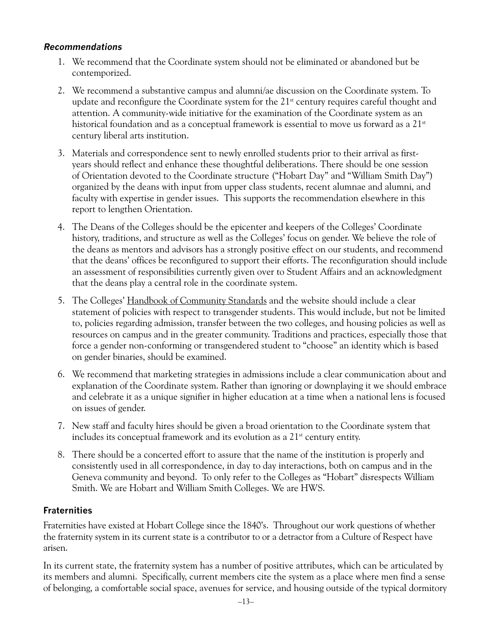#### **Recommendations**

- 1. We recommend that the Coordinate system should not be eliminated or abandoned but be contemporized.
- 2. We recommend a substantive campus and alumni/ae discussion on the Coordinate system. To update and reconfigure the Coordinate system for the  $21<sup>st</sup>$  century requires careful thought and attention. A community-wide initiative for the examination of the Coordinate system as an historical foundation and as a conceptual framework is essential to move us forward as a  $21^{st}$ century liberal arts institution.
- 3. Materials and correspondence sent to newly enrolled students prior to their arrival as firstyears should reflect and enhance these thoughtful deliberations. There should be one session of Orientation devoted to the Coordinate structure ("Hobart Day" and "William Smith Day") organized by the deans with input from upper class students, recent alumnae and alumni, and faculty with expertise in gender issues. This supports the recommendation elsewhere in this report to lengthen Orientation.
- 4. The Deans of the Colleges should be the epicenter and keepers of the Colleges' Coordinate history, traditions, and structure as well as the Colleges' focus on gender. We believe the role of the deans as mentors and advisors has a strongly positive effect on our students, and recommend that the deans' offices be reconfigured to support their efforts. The reconfiguration should include an assessment of responsibilities currently given over to Student Affairs and an acknowledgment that the deans play a central role in the coordinate system.
- 5. The Colleges' Handbook of Community Standards and the website should include a clear statement of policies with respect to transgender students. This would include, but not be limited to, policies regarding admission, transfer between the two colleges, and housing policies as well as resources on campus and in the greater community. Traditions and practices, especially those that force a gender non-conforming or transgendered student to "choose" an identity which is based on gender binaries, should be examined.
- 6. We recommend that marketing strategies in admissions include a clear communication about and explanation of the Coordinate system. Rather than ignoring or downplaying it we should embrace and celebrate it as a unique signifier in higher education at a time when a national lens is focused on issues of gender.
- 7. New staff and faculty hires should be given a broad orientation to the Coordinate system that includes its conceptual framework and its evolution as a  $21<sup>st</sup>$  century entity.
- 8. There should be a concerted effort to assure that the name of the institution is properly and consistently used in all correspondence, in day to day interactions, both on campus and in the Geneva community and beyond. To only refer to the Colleges as "Hobart" disrespects William Smith. We are Hobart and William Smith Colleges. We are HWS.

#### **Fraternities**

Fraternities have existed at Hobart College since the 1840's. Throughout our work questions of whether the fraternity system in its current state is a contributor to or a detractor from a Culture of Respect have arisen.

In its current state, the fraternity system has a number of positive attributes, which can be articulated by its members and alumni. Specifically, current members cite the system as a place where men find a sense of belonging, a comfortable social space, avenues for service, and housing outside of the typical dormitory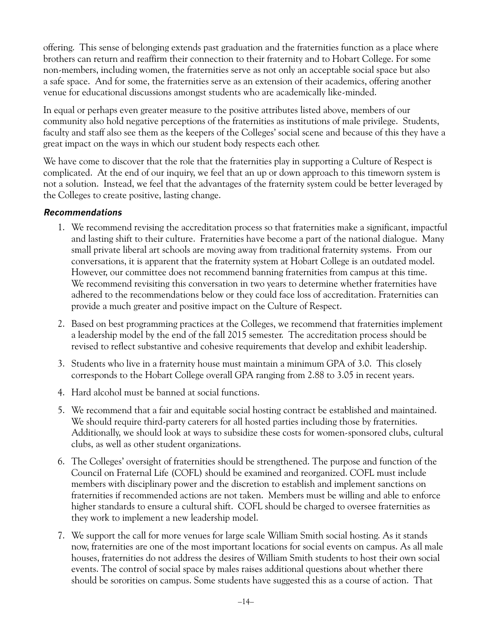offering. This sense of belonging extends past graduation and the fraternities function as a place where brothers can return and reaffirm their connection to their fraternity and to Hobart College. For some non-members, including women, the fraternities serve as not only an acceptable social space but also a safe space. And for some, the fraternities serve as an extension of their academics, offering another venue for educational discussions amongst students who are academically like-minded.

In equal or perhaps even greater measure to the positive attributes listed above, members of our community also hold negative perceptions of the fraternities as institutions of male privilege. Students, faculty and staff also see them as the keepers of the Colleges' social scene and because of this they have a great impact on the ways in which our student body respects each other.

We have come to discover that the role that the fraternities play in supporting a Culture of Respect is complicated. At the end of our inquiry, we feel that an up or down approach to this timeworn system is not a solution. Instead, we feel that the advantages of the fraternity system could be better leveraged by the Colleges to create positive, lasting change.

- 1. We recommend revising the accreditation process so that fraternities make a significant, impactful and lasting shift to their culture. Fraternities have become a part of the national dialogue. Many small private liberal art schools are moving away from traditional fraternity systems. From our conversations, it is apparent that the fraternity system at Hobart College is an outdated model. However, our committee does not recommend banning fraternities from campus at this time. We recommend revisiting this conversation in two years to determine whether fraternities have adhered to the recommendations below or they could face loss of accreditation. Fraternities can provide a much greater and positive impact on the Culture of Respect.
- 2. Based on best programming practices at the Colleges, we recommend that fraternities implement a leadership model by the end of the fall 2015 semester. The accreditation process should be revised to reflect substantive and cohesive requirements that develop and exhibit leadership.
- 3. Students who live in a fraternity house must maintain a minimum GPA of 3.0. This closely corresponds to the Hobart College overall GPA ranging from 2.88 to 3.05 in recent years.
- 4. Hard alcohol must be banned at social functions.
- 5. We recommend that a fair and equitable social hosting contract be established and maintained. We should require third-party caterers for all hosted parties including those by fraternities. Additionally, we should look at ways to subsidize these costs for women-sponsored clubs, cultural clubs, as well as other student organizations.
- 6. The Colleges' oversight of fraternities should be strengthened. The purpose and function of the Council on Fraternal Life (COFL) should be examined and reorganized. COFL must include members with disciplinary power and the discretion to establish and implement sanctions on fraternities if recommended actions are not taken. Members must be willing and able to enforce higher standards to ensure a cultural shift. COFL should be charged to oversee fraternities as they work to implement a new leadership model.
- 7. We support the call for more venues for large scale William Smith social hosting. As it stands now, fraternities are one of the most important locations for social events on campus. As all male houses, fraternities do not address the desires of William Smith students to host their own social events. The control of social space by males raises additional questions about whether there should be sororities on campus. Some students have suggested this as a course of action. That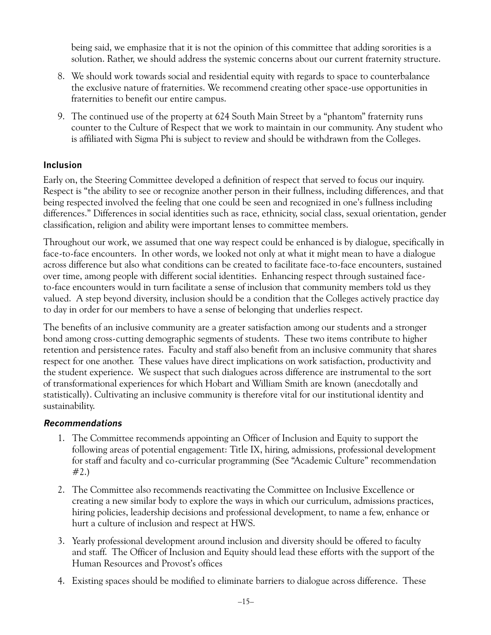being said, we emphasize that it is not the opinion of this committee that adding sororities is a solution. Rather, we should address the systemic concerns about our current fraternity structure.

- 8. We should work towards social and residential equity with regards to space to counterbalance the exclusive nature of fraternities. We recommend creating other space-use opportunities in fraternities to benefit our entire campus.
- 9. The continued use of the property at 624 South Main Street by a "phantom" fraternity runs counter to the Culture of Respect that we work to maintain in our community. Any student who is affiliated with Sigma Phi is subject to review and should be withdrawn from the Colleges.

#### **Inclusion**

Early on, the Steering Committee developed a definition of respect that served to focus our inquiry. Respect is "the ability to see or recognize another person in their fullness, including differences, and that being respected involved the feeling that one could be seen and recognized in one's fullness including differences." Differences in social identities such as race, ethnicity, social class, sexual orientation, gender classification, religion and ability were important lenses to committee members.

Throughout our work, we assumed that one way respect could be enhanced is by dialogue, specifically in face-to-face encounters. In other words, we looked not only at what it might mean to have a dialogue across difference but also what conditions can be created to facilitate face-to-face encounters, sustained over time, among people with different social identities. Enhancing respect through sustained faceto-face encounters would in turn facilitate a sense of inclusion that community members told us they valued. A step beyond diversity, inclusion should be a condition that the Colleges actively practice day to day in order for our members to have a sense of belonging that underlies respect.

The benefits of an inclusive community are a greater satisfaction among our students and a stronger bond among cross-cutting demographic segments of students. These two items contribute to higher retention and persistence rates. Faculty and staff also benefit from an inclusive community that shares respect for one another. These values have direct implications on work satisfaction, productivity and the student experience. We suspect that such dialogues across difference are instrumental to the sort of transformational experiences for which Hobart and William Smith are known (anecdotally and statistically). Cultivating an inclusive community is therefore vital for our institutional identity and sustainability.

- 1. The Committee recommends appointing an Officer of Inclusion and Equity to support the following areas of potential engagement: Title IX, hiring, admissions, professional development for staff and faculty and co-curricular programming (See "Academic Culture" recommendation #2.)
- 2. The Committee also recommends reactivating the Committee on Inclusive Excellence or creating a new similar body to explore the ways in which our curriculum, admissions practices, hiring policies, leadership decisions and professional development, to name a few, enhance or hurt a culture of inclusion and respect at HWS.
- 3. Yearly professional development around inclusion and diversity should be offered to faculty and staff. The Officer of Inclusion and Equity should lead these efforts with the support of the Human Resources and Provost's offices
- 4. Existing spaces should be modified to eliminate barriers to dialogue across difference. These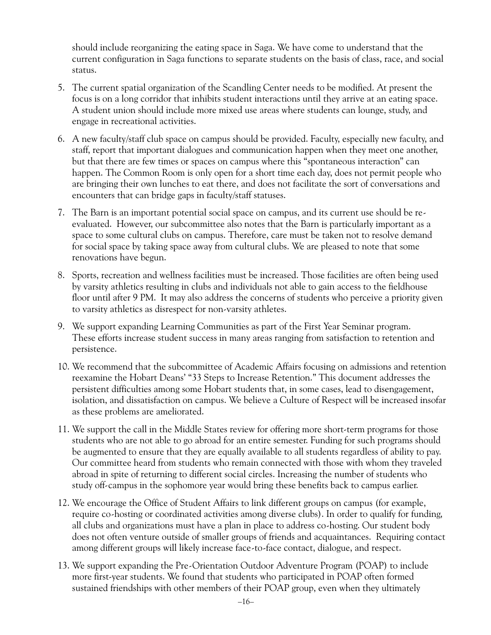should include reorganizing the eating space in Saga. We have come to understand that the current configuration in Saga functions to separate students on the basis of class, race, and social status.

- 5. The current spatial organization of the Scandling Center needs to be modified. At present the focus is on a long corridor that inhibits student interactions until they arrive at an eating space. A student union should include more mixed use areas where students can lounge, study, and engage in recreational activities.
- 6. A new faculty/staff club space on campus should be provided. Faculty, especially new faculty, and staff, report that important dialogues and communication happen when they meet one another, but that there are few times or spaces on campus where this "spontaneous interaction" can happen. The Common Room is only open for a short time each day, does not permit people who are bringing their own lunches to eat there, and does not facilitate the sort of conversations and encounters that can bridge gaps in faculty/staff statuses.
- 7. The Barn is an important potential social space on campus, and its current use should be reevaluated. However, our subcommittee also notes that the Barn is particularly important as a space to some cultural clubs on campus. Therefore, care must be taken not to resolve demand for social space by taking space away from cultural clubs. We are pleased to note that some renovations have begun.
- 8. Sports, recreation and wellness facilities must be increased. Those facilities are often being used by varsity athletics resulting in clubs and individuals not able to gain access to the fieldhouse floor until after 9 PM. It may also address the concerns of students who perceive a priority given to varsity athletics as disrespect for non-varsity athletes.
- 9. We support expanding Learning Communities as part of the First Year Seminar program. These efforts increase student success in many areas ranging from satisfaction to retention and persistence.
- 10. We recommend that the subcommittee of Academic Affairs focusing on admissions and retention reexamine the Hobart Deans' "33 Steps to Increase Retention." This document addresses the persistent difficulties among some Hobart students that, in some cases, lead to disengagement, isolation, and dissatisfaction on campus. We believe a Culture of Respect will be increased insofar as these problems are ameliorated.
- 11. We support the call in the Middle States review for offering more short-term programs for those students who are not able to go abroad for an entire semester. Funding for such programs should be augmented to ensure that they are equally available to all students regardless of ability to pay. Our committee heard from students who remain connected with those with whom they traveled abroad in spite of returning to different social circles. Increasing the number of students who study off-campus in the sophomore year would bring these benefits back to campus earlier.
- 12. We encourage the Office of Student Affairs to link different groups on campus (for example, require co-hosting or coordinated activities among diverse clubs). In order to qualify for funding, all clubs and organizations must have a plan in place to address co-hosting. Our student body does not often venture outside of smaller groups of friends and acquaintances. Requiring contact among different groups will likely increase face-to-face contact, dialogue, and respect.
- 13. We support expanding the Pre-Orientation Outdoor Adventure Program (POAP) to include more first-year students. We found that students who participated in POAP often formed sustained friendships with other members of their POAP group, even when they ultimately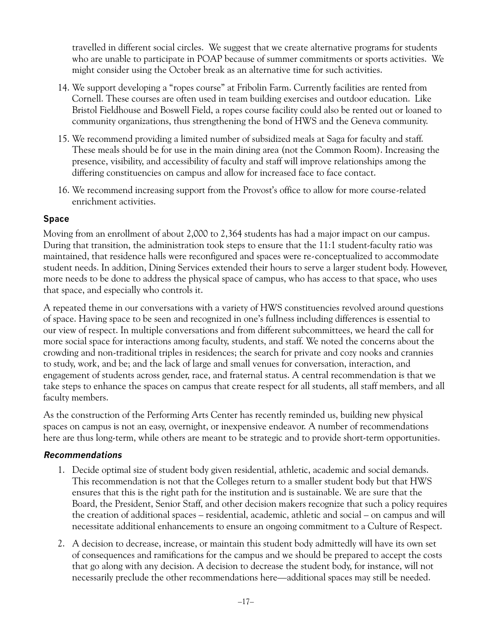travelled in different social circles. We suggest that we create alternative programs for students who are unable to participate in POAP because of summer commitments or sports activities. We might consider using the October break as an alternative time for such activities.

- 14. We support developing a "ropes course" at Fribolin Farm. Currently facilities are rented from Cornell. These courses are often used in team building exercises and outdoor education. Like Bristol Fieldhouse and Boswell Field, a ropes course facility could also be rented out or loaned to community organizations, thus strengthening the bond of HWS and the Geneva community.
- 15. We recommend providing a limited number of subsidized meals at Saga for faculty and staff. These meals should be for use in the main dining area (not the Common Room). Increasing the presence, visibility, and accessibility of faculty and staff will improve relationships among the differing constituencies on campus and allow for increased face to face contact.
- 16. We recommend increasing support from the Provost's office to allow for more course-related enrichment activities.

#### **Space**

Moving from an enrollment of about 2,000 to 2,364 students has had a major impact on our campus. During that transition, the administration took steps to ensure that the 11:1 student-faculty ratio was maintained, that residence halls were reconfigured and spaces were re-conceptualized to accommodate student needs. In addition, Dining Services extended their hours to serve a larger student body. However, more needs to be done to address the physical space of campus, who has access to that space, who uses that space, and especially who controls it.

A repeated theme in our conversations with a variety of HWS constituencies revolved around questions of space. Having space to be seen and recognized in one's fullness including differences is essential to our view of respect. In multiple conversations and from different subcommittees, we heard the call for more social space for interactions among faculty, students, and staff. We noted the concerns about the crowding and non-traditional triples in residences; the search for private and cozy nooks and crannies to study, work, and be; and the lack of large and small venues for conversation, interaction, and engagement of students across gender, race, and fraternal status. A central recommendation is that we take steps to enhance the spaces on campus that create respect for all students, all staff members, and all faculty members.

As the construction of the Performing Arts Center has recently reminded us, building new physical spaces on campus is not an easy, overnight, or inexpensive endeavor. A number of recommendations here are thus long-term, while others are meant to be strategic and to provide short-term opportunities.

- 1. Decide optimal size of student body given residential, athletic, academic and social demands. This recommendation is not that the Colleges return to a smaller student body but that HWS ensures that this is the right path for the institution and is sustainable. We are sure that the Board, the President, Senior Staff, and other decision makers recognize that such a policy requires the creation of additional spaces – residential, academic, athletic and social – on campus and will necessitate additional enhancements to ensure an ongoing commitment to a Culture of Respect.
- 2. A decision to decrease, increase, or maintain this student body admittedly will have its own set of consequences and ramifications for the campus and we should be prepared to accept the costs that go along with any decision. A decision to decrease the student body, for instance, will not necessarily preclude the other recommendations here—additional spaces may still be needed.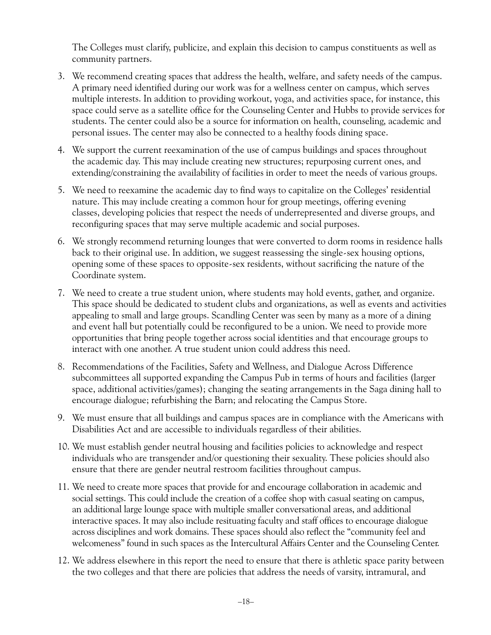The Colleges must clarify, publicize, and explain this decision to campus constituents as well as community partners.

- 3. We recommend creating spaces that address the health, welfare, and safety needs of the campus. A primary need identified during our work was for a wellness center on campus, which serves multiple interests. In addition to providing workout, yoga, and activities space, for instance, this space could serve as a satellite office for the Counseling Center and Hubbs to provide services for students. The center could also be a source for information on health, counseling, academic and personal issues. The center may also be connected to a healthy foods dining space.
- 4. We support the current reexamination of the use of campus buildings and spaces throughout the academic day. This may include creating new structures; repurposing current ones, and extending/constraining the availability of facilities in order to meet the needs of various groups.
- 5. We need to reexamine the academic day to find ways to capitalize on the Colleges' residential nature. This may include creating a common hour for group meetings, offering evening classes, developing policies that respect the needs of underrepresented and diverse groups, and reconfiguring spaces that may serve multiple academic and social purposes.
- 6. We strongly recommend returning lounges that were converted to dorm rooms in residence halls back to their original use. In addition, we suggest reassessing the single-sex housing options, opening some of these spaces to opposite-sex residents, without sacrificing the nature of the Coordinate system.
- 7. We need to create a true student union, where students may hold events, gather, and organize. This space should be dedicated to student clubs and organizations, as well as events and activities appealing to small and large groups. Scandling Center was seen by many as a more of a dining and event hall but potentially could be reconfigured to be a union. We need to provide more opportunities that bring people together across social identities and that encourage groups to interact with one another. A true student union could address this need.
- 8. Recommendations of the Facilities, Safety and Wellness, and Dialogue Across Difference subcommittees all supported expanding the Campus Pub in terms of hours and facilities (larger space, additional activities/games); changing the seating arrangements in the Saga dining hall to encourage dialogue; refurbishing the Barn; and relocating the Campus Store.
- 9. We must ensure that all buildings and campus spaces are in compliance with the Americans with Disabilities Act and are accessible to individuals regardless of their abilities.
- 10. We must establish gender neutral housing and facilities policies to acknowledge and respect individuals who are transgender and/or questioning their sexuality. These policies should also ensure that there are gender neutral restroom facilities throughout campus.
- 11. We need to create more spaces that provide for and encourage collaboration in academic and social settings. This could include the creation of a coffee shop with casual seating on campus, an additional large lounge space with multiple smaller conversational areas, and additional interactive spaces. It may also include resituating faculty and staff offices to encourage dialogue across disciplines and work domains. These spaces should also reflect the "community feel and welcomeness" found in such spaces as the Intercultural Affairs Center and the Counseling Center.
- 12. We address elsewhere in this report the need to ensure that there is athletic space parity between the two colleges and that there are policies that address the needs of varsity, intramural, and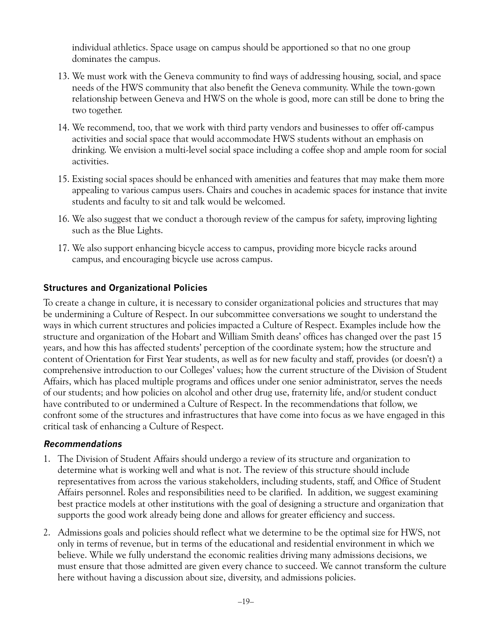individual athletics. Space usage on campus should be apportioned so that no one group dominates the campus.

- 13. We must work with the Geneva community to find ways of addressing housing, social, and space needs of the HWS community that also benefit the Geneva community. While the town-gown relationship between Geneva and HWS on the whole is good, more can still be done to bring the two together.
- 14. We recommend, too, that we work with third party vendors and businesses to offer off-campus activities and social space that would accommodate HWS students without an emphasis on drinking. We envision a multi-level social space including a coffee shop and ample room for social activities.
- 15. Existing social spaces should be enhanced with amenities and features that may make them more appealing to various campus users. Chairs and couches in academic spaces for instance that invite students and faculty to sit and talk would be welcomed.
- 16. We also suggest that we conduct a thorough review of the campus for safety, improving lighting such as the Blue Lights.
- 17. We also support enhancing bicycle access to campus, providing more bicycle racks around campus, and encouraging bicycle use across campus.

#### **Structures and Organizational Policies**

To create a change in culture, it is necessary to consider organizational policies and structures that may be undermining a Culture of Respect. In our subcommittee conversations we sought to understand the ways in which current structures and policies impacted a Culture of Respect. Examples include how the structure and organization of the Hobart and William Smith deans' offices has changed over the past 15 years, and how this has affected students' perception of the coordinate system; how the structure and content of Orientation for First Year students, as well as for new faculty and staff, provides (or doesn't) a comprehensive introduction to our Colleges' values; how the current structure of the Division of Student Affairs, which has placed multiple programs and offices under one senior administrator, serves the needs of our students; and how policies on alcohol and other drug use, fraternity life, and/or student conduct have contributed to or undermined a Culture of Respect. In the recommendations that follow, we confront some of the structures and infrastructures that have come into focus as we have engaged in this critical task of enhancing a Culture of Respect.

- 1. The Division of Student Affairs should undergo a review of its structure and organization to determine what is working well and what is not. The review of this structure should include representatives from across the various stakeholders, including students, staff, and Office of Student Affairs personnel. Roles and responsibilities need to be clarified. In addition, we suggest examining best practice models at other institutions with the goal of designing a structure and organization that supports the good work already being done and allows for greater efficiency and success.
- 2. Admissions goals and policies should reflect what we determine to be the optimal size for HWS, not only in terms of revenue, but in terms of the educational and residential environment in which we believe. While we fully understand the economic realities driving many admissions decisions, we must ensure that those admitted are given every chance to succeed. We cannot transform the culture here without having a discussion about size, diversity, and admissions policies.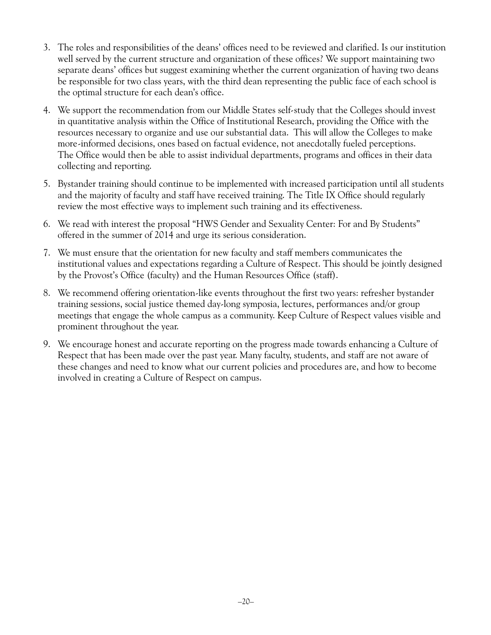- 3. The roles and responsibilities of the deans' offices need to be reviewed and clarified. Is our institution well served by the current structure and organization of these offices? We support maintaining two separate deans' offices but suggest examining whether the current organization of having two deans be responsible for two class years, with the third dean representing the public face of each school is the optimal structure for each dean's office.
- 4. We support the recommendation from our Middle States self-study that the Colleges should invest in quantitative analysis within the Office of Institutional Research, providing the Office with the resources necessary to organize and use our substantial data. This will allow the Colleges to make more-informed decisions, ones based on factual evidence, not anecdotally fueled perceptions. The Office would then be able to assist individual departments, programs and offices in their data collecting and reporting.
- 5. Bystander training should continue to be implemented with increased participation until all students and the majority of faculty and staff have received training. The Title IX Office should regularly review the most effective ways to implement such training and its effectiveness.
- 6. We read with interest the proposal "HWS Gender and Sexuality Center: For and By Students" offered in the summer of 2014 and urge its serious consideration.
- 7. We must ensure that the orientation for new faculty and staff members communicates the institutional values and expectations regarding a Culture of Respect. This should be jointly designed by the Provost's Office (faculty) and the Human Resources Office (staff).
- 8. We recommend offering orientation-like events throughout the first two years: refresher bystander training sessions, social justice themed day-long symposia, lectures, performances and/or group meetings that engage the whole campus as a community. Keep Culture of Respect values visible and prominent throughout the year.
- 9. We encourage honest and accurate reporting on the progress made towards enhancing a Culture of Respect that has been made over the past year. Many faculty, students, and staff are not aware of these changes and need to know what our current policies and procedures are, and how to become involved in creating a Culture of Respect on campus.